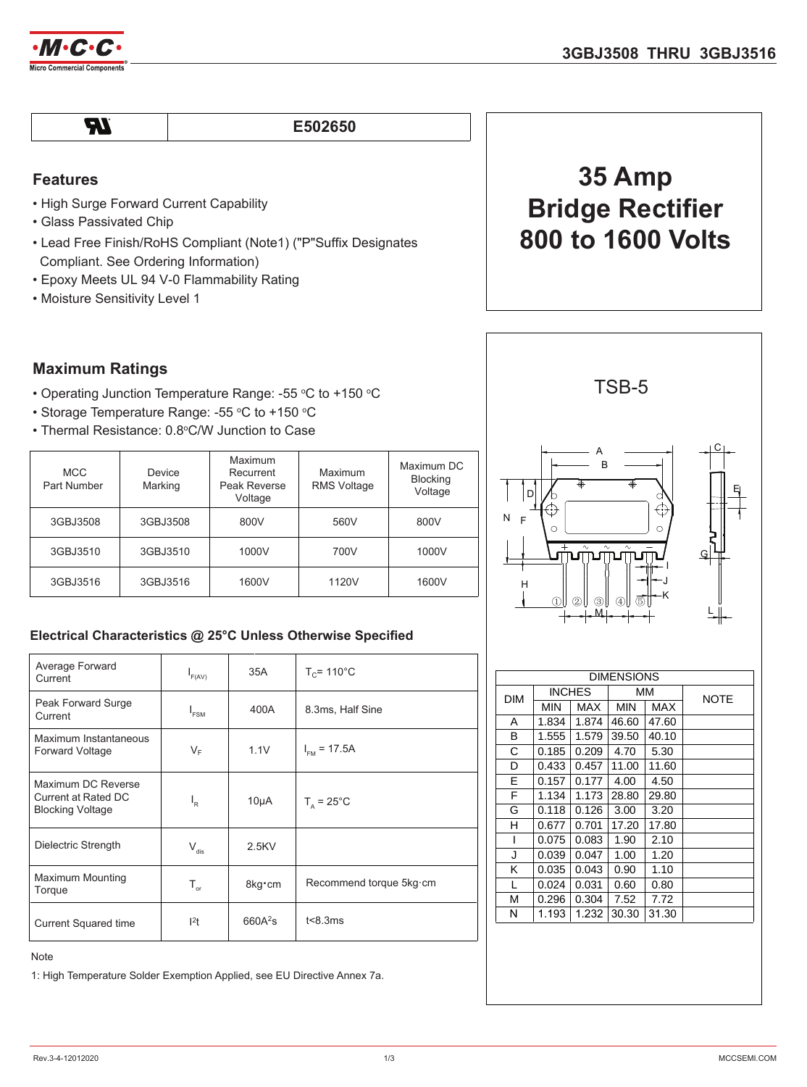

 $\boldsymbol{\mathcal{H}}$ 

#### **E502650**

### **Features**

- High Surge Forward Current Capability
- Glass Passivated Chip
- Lead Free Finish/RoHS Compliant (Note1) ("P"Suffix Designates Compliant. See Ordering Information)
- Epoxy Meets UL 94 V-0 Flammability Rating

# **35 Amp Bridge Rectifier 800 to 1600 Volts**

### **Maximum Ratings**

- Operating Junction Temperature Range: -55 °C to +150 °C
- Storage Temperature Range: -55 °C to +150 °C
- Thermal Resistance: 0.8°C/W Junction to Case

| <b>MCC</b><br>Part Number | Device<br>Marking | Maximum<br>Recurrent<br>Peak Reverse<br>Voltage | Maximum<br>RMS Voltage | Maximum DC<br><b>Blocking</b><br>Voltage |
|---------------------------|-------------------|-------------------------------------------------|------------------------|------------------------------------------|
| 3GBJ3508                  | 3GBJ3508          | 800V                                            | 560V                   | 800V                                     |
| 3GBJ3510                  | 3GBJ3510          | 1000V                                           | 700V                   | 1000V                                    |
| 3GBJ3516                  | 3GBJ3516          | 1600V                                           | 1120V                  | 1600V                                    |

### **Electrical Characteristics @ 25°C Unless Otherwise Specified**

| Average Forward<br>Current                                           | $I_{F(AV)}$                 | 35A                 | $T_c$ = 110 $^{\circ}$ C |  |
|----------------------------------------------------------------------|-----------------------------|---------------------|--------------------------|--|
| Peak Forward Surge<br>Current                                        | $I_{FSM}$                   | 400A                | 8.3ms, Half Sine         |  |
| Maximum Instantaneous<br><b>Forward Voltage</b>                      | $V_F$                       | 1.1V                | $I_{\text{FM}}$ = 17.5A  |  |
| Maximum DC Reverse<br>Current at Rated DC<br><b>Blocking Voltage</b> | $I_R$                       | $10\mu A$           | $T_a = 25^{\circ}$ C     |  |
| Dielectric Strength                                                  | $\mathsf{V}_{\mathsf{dis}}$ | $2.5$ KV            |                          |  |
| <b>Maximum Mounting</b><br>Torque                                    | $T_{\text{or}}$             | 8kg cm              | Recommend torque 5kg·cm  |  |
| <b>Current Squared time</b>                                          | 1 <sup>2</sup> t            | 660A <sup>2</sup> S | t<8.3ms                  |  |

Note

1: High Temperature Solder Exemption Applied, see EU Directive Annex 7a.

A I H F D M K J B G ① ② ④③ ⑤ C E L N

TSB-5

| <b>DIMENSIONS</b> |               |            |            |            |             |
|-------------------|---------------|------------|------------|------------|-------------|
| <b>DIM</b>        | <b>INCHES</b> |            | ΜМ         |            | <b>NOTE</b> |
|                   | <b>MIN</b>    | <b>MAX</b> | <b>MIN</b> | <b>MAX</b> |             |
| A                 | 1.834         | 1.874      | 46.60      | 47.60      |             |
| В                 | 1.555         | 1.579      | 39.50      | 40.10      |             |
| С                 | 0.185         | 0.209      | 4.70       | 5.30       |             |
| D                 | 0.433         | 0.457      | 11.00      | 11.60      |             |
| E                 | 0.157         | 0.177      | 4.00       | 4.50       |             |
| F                 | 1.134         | 1.173      | 28.80      | 29.80      |             |
| G                 | 0.118         | 0.126      | 3.00       | 3.20       |             |
| н                 | 0.677         | 0.701      | 17.20      | 17.80      |             |
| I                 | 0.075         | 0.083      | 1.90       | 2.10       |             |
| J                 | 0.039         | 0.047      | 1.00       | 1.20       |             |
| Κ                 | 0.035         | 0.043      | 0.90       | 1.10       |             |
| L                 | 0.024         | 0.031      | 0.60       | 0.80       |             |
| M                 | 0.296         | 0.304      | 7.52       | 7.72       |             |
| N                 | 1.193         | 1.232      | 30.30      | 31.30      |             |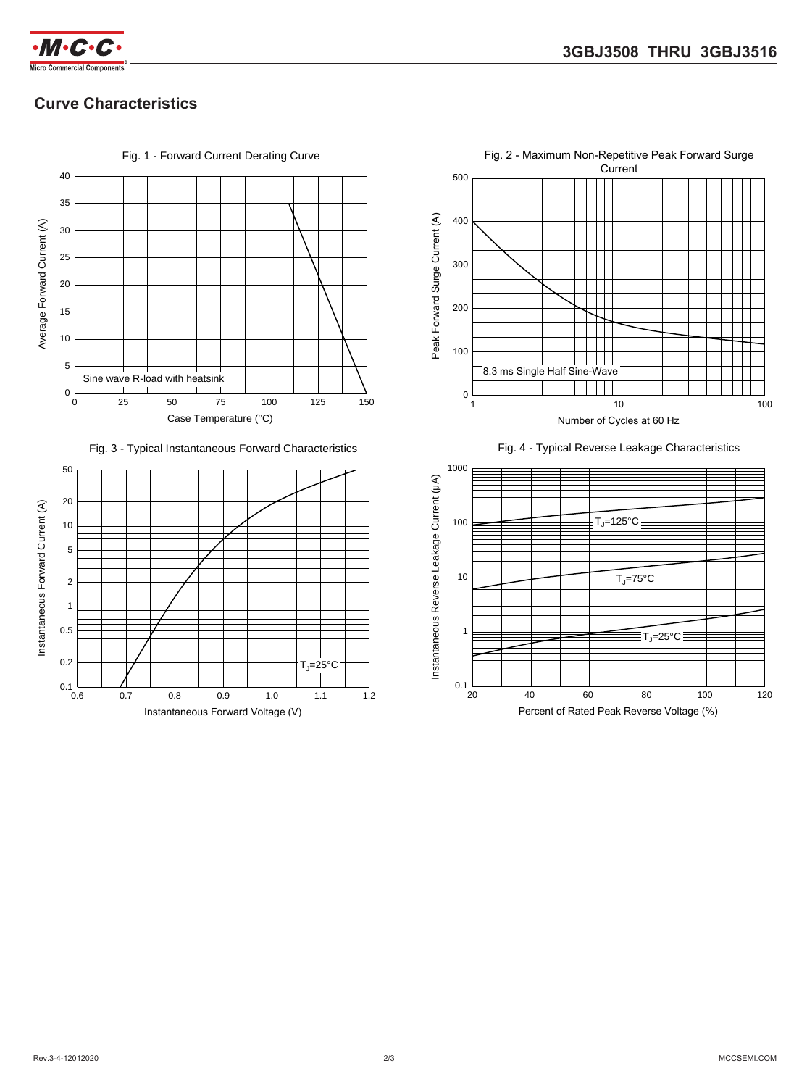

## **Curve Characteristics**